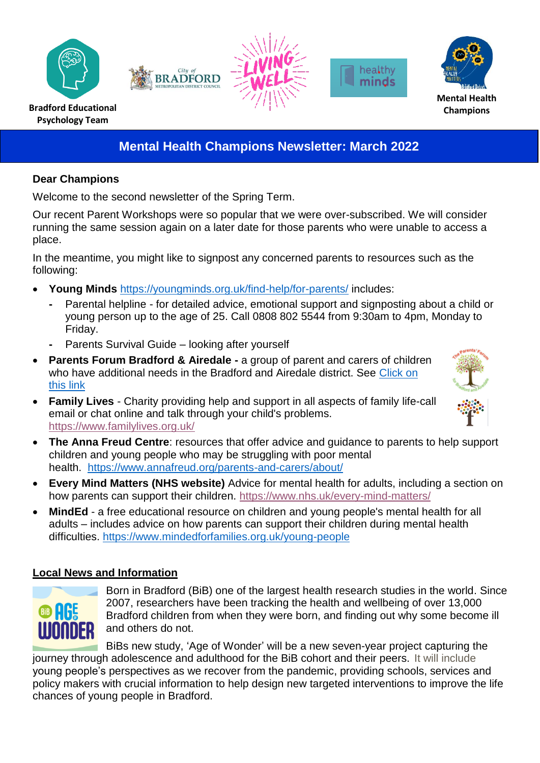









# **Mental Health Champions Newsletter: March 2022**

#### **Dear Champions**

Welcome to the second newsletter of the Spring Term.

Our recent Parent Workshops were so popular that we were over-subscribed. We will consider running the same session again on a later date for those parents who were unable to access a place.

In the meantime, you might like to signpost any concerned parents to resources such as the following:

- **Young Minds** <https://youngminds.org.uk/find-help/for-parents/> includes:
	- **-** Parental helpline for detailed advice, emotional support and signposting about a child or young person up to the age of 25. Call 0808 802 5544 from 9:30am to 4pm, Monday to Friday.
	- Parents Survival Guide looking after yourself
- **[Parents Forum Bradford & Airedale](https://localoffer.bradford.gov.uk/service/777-parents-forum-for-bradford-and-airedale) -** a group of parent and carers of children who have additional needs in the Bradford and Airedale district. See [Click on](https://localoffer.bradford.gov.uk/service/777-parents-forum-for-bradford-and-airedale)  [this link](https://localoffer.bradford.gov.uk/service/777-parents-forum-for-bradford-and-airedale)
- **Family Lives** Charity providing help and support in all aspects of family life-call email or chat online and talk through your child's problems. <https://www.familylives.org.uk/>



- **The Anna Freud Centre**: resources that offer advice and guidance to parents to help support children and young people who may be struggling with poor mental health.<https://www.annafreud.org/parents-and-carers/about/>
- **Every Mind Matters (NHS website)** Advice for mental health for adults, including a section on how parents can support their children.<https://www.nhs.uk/every-mind-matters/>
- **MindEd** a free educational resource on children and young people's mental health for all adults – includes advice on how parents can support their children during mental health difficulties.<https://www.mindedforfamilies.org.uk/young-people>

## **Local News and Information**



Born in Bradford (BiB) one of the largest health research studies in the world. Since 2007, researchers have been tracking the health and wellbeing of over 13,000 Bradford children from when they were born, and finding out why some become ill and others do not.

BiBs new study, 'Age of Wonder' will be a new seven-year project capturing the journey through adolescence and adulthood for the BiB cohort and their peers. It will include young people's perspectives as we recover from the pandemic, providing schools, services and policy makers with crucial information to help design new targeted interventions to improve the life chances of young people in Bradford.